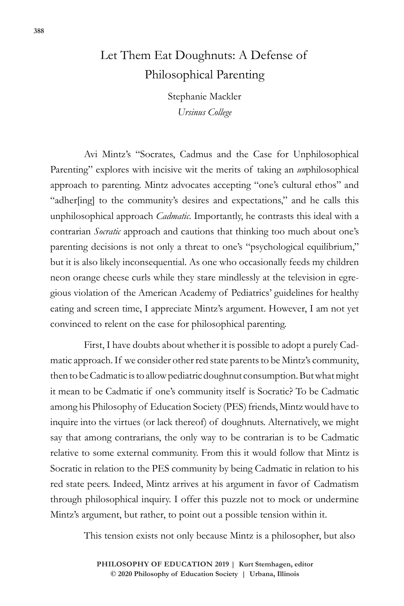## Let Them Eat Doughnuts: A Defense of Philosophical Parenting

Stephanie Mackler *Ursinus College*

Avi Mintz's "Socrates, Cadmus and the Case for Unphilosophical Parenting" explores with incisive wit the merits of taking an *un*philosophical approach to parenting. Mintz advocates accepting "one's cultural ethos" and "adher[ing] to the community's desires and expectations," and he calls this unphilosophical approach *Cadmatic*. Importantly, he contrasts this ideal with a contrarian *Socratic* approach and cautions that thinking too much about one's parenting decisions is not only a threat to one's "psychological equilibrium," but it is also likely inconsequential. As one who occasionally feeds my children neon orange cheese curls while they stare mindlessly at the television in egregious violation of the American Academy of Pediatrics' guidelines for healthy eating and screen time, I appreciate Mintz's argument. However, I am not yet convinced to relent on the case for philosophical parenting.

First, I have doubts about whether it is possible to adopt a purely Cadmatic approach. If we consider other red state parents to be Mintz's community, then to be Cadmatic is to allow pediatric doughnut consumption. But what might it mean to be Cadmatic if one's community itself is Socratic? To be Cadmatic among his Philosophy of Education Society (PES) friends, Mintz would have to inquire into the virtues (or lack thereof) of doughnuts. Alternatively, we might say that among contrarians, the only way to be contrarian is to be Cadmatic relative to some external community. From this it would follow that Mintz is Socratic in relation to the PES community by being Cadmatic in relation to his red state peers. Indeed, Mintz arrives at his argument in favor of Cadmatism through philosophical inquiry. I offer this puzzle not to mock or undermine Mintz's argument, but rather, to point out a possible tension within it.

This tension exists not only because Mintz is a philosopher, but also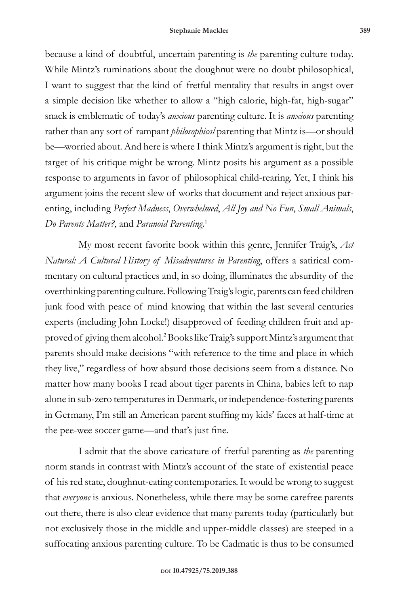because a kind of doubtful, uncertain parenting is *the* parenting culture today. While Mintz's ruminations about the doughnut were no doubt philosophical, I want to suggest that the kind of fretful mentality that results in angst over a simple decision like whether to allow a "high calorie, high-fat, high-sugar" snack is emblematic of today's *anxious* parenting culture. It is *anxious* parenting rather than any sort of rampant *philosophical* parenting that Mintz is—or should be—worried about. And here is where I think Mintz's argument is right, but the target of his critique might be wrong. Mintz posits his argument as a possible response to arguments in favor of philosophical child-rearing. Yet, I think his argument joins the recent slew of works that document and reject anxious parenting, including *Perfect Madness*, *Overwhelmed*, *All Joy and No Fun*, *Small Animals*, *Do Parents Matter?*, and *Paranoid Parenting*. 1

My most recent favorite book within this genre, Jennifer Traig's, *Act Natural: A Cultural History of Misadventures in Parenting*, offers a satirical commentary on cultural practices and, in so doing, illuminates the absurdity of the overthinking parenting culture. Following Traig's logic, parents can feed children junk food with peace of mind knowing that within the last several centuries experts (including John Locke!) disapproved of feeding children fruit and approved of giving them alcohol.2 Books like Traig's support Mintz's argument that parents should make decisions "with reference to the time and place in which they live," regardless of how absurd those decisions seem from a distance. No matter how many books I read about tiger parents in China, babies left to nap alone in sub-zero temperatures in Denmark, or independence-fostering parents in Germany, I'm still an American parent stuffing my kids' faces at half-time at the pee-wee soccer game—and that's just fine.

I admit that the above caricature of fretful parenting as *the* parenting norm stands in contrast with Mintz's account of the state of existential peace of his red state, doughnut-eating contemporaries. It would be wrong to suggest that *everyone* is anxious. Nonetheless, while there may be some carefree parents out there, there is also clear evidence that many parents today (particularly but not exclusively those in the middle and upper-middle classes) are steeped in a suffocating anxious parenting culture. To be Cadmatic is thus to be consumed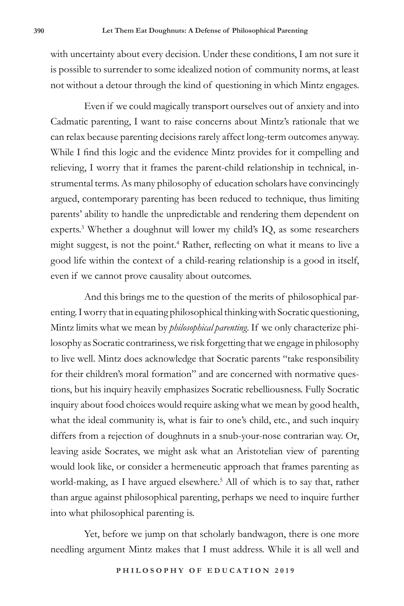with uncertainty about every decision. Under these conditions, I am not sure it is possible to surrender to some idealized notion of community norms, at least not without a detour through the kind of questioning in which Mintz engages.

Even if we could magically transport ourselves out of anxiety and into Cadmatic parenting, I want to raise concerns about Mintz's rationale that we can relax because parenting decisions rarely affect long-term outcomes anyway. While I find this logic and the evidence Mintz provides for it compelling and relieving, I worry that it frames the parent-child relationship in technical, instrumental terms. As many philosophy of education scholars have convincingly argued, contemporary parenting has been reduced to technique, thus limiting parents' ability to handle the unpredictable and rendering them dependent on experts.<sup>3</sup> Whether a doughnut will lower my child's IQ, as some researchers might suggest, is not the point.<sup>4</sup> Rather, reflecting on what it means to live a good life within the context of a child-rearing relationship is a good in itself, even if we cannot prove causality about outcomes.

And this brings me to the question of the merits of philosophical parenting. I worry that in equating philosophical thinking with Socratic questioning, Mintz limits what we mean by *philosophical parenting*. If we only characterize philosophy as Socratic contrariness, we risk forgetting that we engage in philosophy to live well. Mintz does acknowledge that Socratic parents "take responsibility for their children's moral formation" and are concerned with normative questions, but his inquiry heavily emphasizes Socratic rebelliousness. Fully Socratic inquiry about food choices would require asking what we mean by good health, what the ideal community is, what is fair to one's child, etc., and such inquiry differs from a rejection of doughnuts in a snub-your-nose contrarian way. Or, leaving aside Socrates, we might ask what an Aristotelian view of parenting would look like, or consider a hermeneutic approach that frames parenting as world-making, as I have argued elsewhere.<sup>5</sup> All of which is to say that, rather than argue against philosophical parenting, perhaps we need to inquire further into what philosophical parenting is.

Yet, before we jump on that scholarly bandwagon, there is one more needling argument Mintz makes that I must address. While it is all well and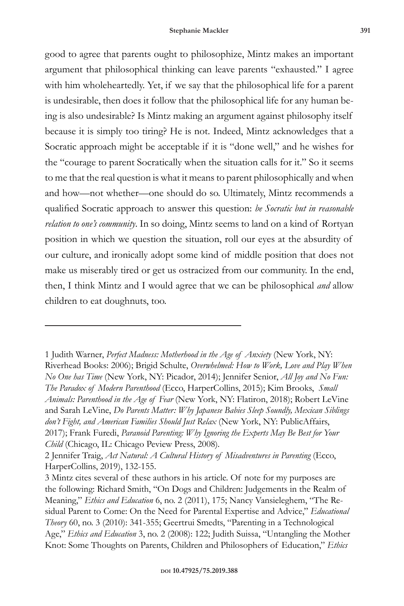good to agree that parents ought to philosophize, Mintz makes an important argument that philosophical thinking can leave parents "exhausted." I agree with him wholeheartedly. Yet, if we say that the philosophical life for a parent is undesirable, then does it follow that the philosophical life for any human being is also undesirable? Is Mintz making an argument against philosophy itself because it is simply too tiring? He is not. Indeed, Mintz acknowledges that a Socratic approach might be acceptable if it is "done well," and he wishes for the "courage to parent Socratically when the situation calls for it." So it seems to me that the real question is what it means to parent philosophically and when and how—not whether—one should do so. Ultimately, Mintz recommends a qualified Socratic approach to answer this question: *be Socratic but in reasonable relation to one's community*. In so doing, Mintz seems to land on a kind of Rortyan position in which we question the situation, roll our eyes at the absurdity of our culture, and ironically adopt some kind of middle position that does not make us miserably tired or get us ostracized from our community. In the end, then, I think Mintz and I would agree that we can be philosophical *and* allow children to eat doughnuts, too.

<sup>1</sup> Judith Warner, *Perfect Madness: Motherhood in the Age of Anxiety* (New York, NY: Riverhead Books: 2006); Brigid Schulte, *Overwhelmed: How to Work, Love and Play When No One has Time* (New York, NY: Picador, 2014); Jennifer Senior, *All Joy and No Fun: The Paradox of Modern Parenthood* (Ecco, HarperCollins, 2015); Kim Brooks, *Small Animals: Parenthood in the Age of Fear* (New York, NY: Flatiron, 2018); Robert LeVine and Sarah LeVine, *Do Parents Matter: Why Japanese Babies Sleep Soundly, Mexican Siblings don't Fight, and American Families Should Just Relax* (New York, NY: PublicAffairs, 2017); Frank Furedi, *Paranoid Parenting: Why Ignoring the Experts May Be Best for Your Child* (Chicago, IL: Chicago Peview Press, 2008)*.* 

<sup>2</sup> Jennifer Traig, *Act Natural: A Cultural History of Misadventures in Parenting* (Ecco, HarperCollins, 2019), 132-155.

<sup>3</sup> Mintz cites several of these authors in his article. Of note for my purposes are the following: Richard Smith, "On Dogs and Children: Judgements in the Realm of Meaning," *Ethics and Education* 6, no. 2 (2011), 175; Nancy Vansieleghem, "The Residual Parent to Come: On the Need for Parental Expertise and Advice," *Educational Theory* 60, no. 3 (2010): 341-355; Geertrui Smedts, "Parenting in a Technological Age," *Ethics and Education* 3, no. 2 (2008): 122; Judith Suissa, "Untangling the Mother Knot: Some Thoughts on Parents, Children and Philosophers of Education," *Ethics*